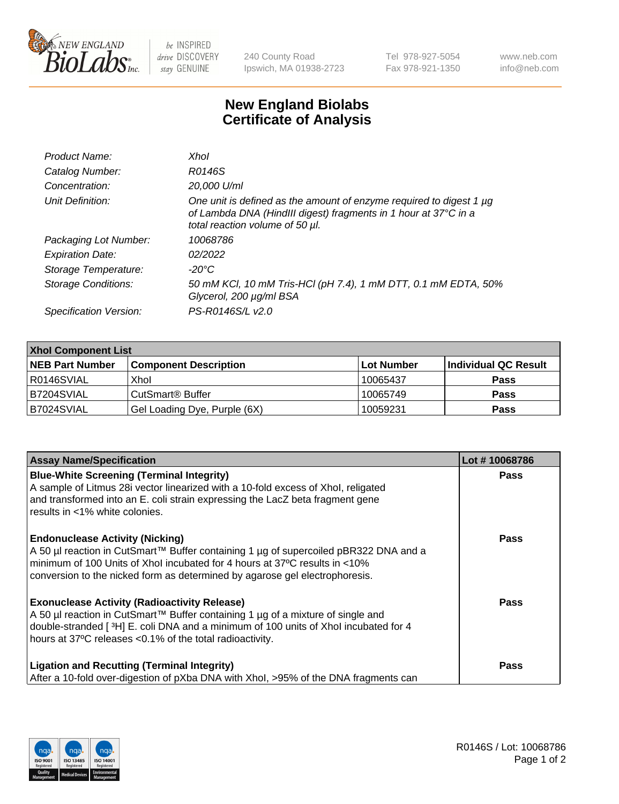

 $be$  INSPIRED drive DISCOVERY stay GENUINE

240 County Road Ipswich, MA 01938-2723 Tel 978-927-5054 Fax 978-921-1350 www.neb.com info@neb.com

## **New England Biolabs Certificate of Analysis**

| Product Name:              | Xhol                                                                                                                                                                      |
|----------------------------|---------------------------------------------------------------------------------------------------------------------------------------------------------------------------|
| Catalog Number:            | R0146S                                                                                                                                                                    |
| Concentration:             | 20,000 U/ml                                                                                                                                                               |
| Unit Definition:           | One unit is defined as the amount of enzyme required to digest 1 µg<br>of Lambda DNA (HindIII digest) fragments in 1 hour at 37°C in a<br>total reaction volume of 50 µl. |
| Packaging Lot Number:      | 10068786                                                                                                                                                                  |
| <b>Expiration Date:</b>    | 02/2022                                                                                                                                                                   |
| Storage Temperature:       | -20°C                                                                                                                                                                     |
| <b>Storage Conditions:</b> | 50 mM KCl, 10 mM Tris-HCl (pH 7.4), 1 mM DTT, 0.1 mM EDTA, 50%<br>Glycerol, 200 µg/ml BSA                                                                                 |
| Specification Version:     | PS-R0146S/L v2.0                                                                                                                                                          |

| <b>Xhol Component List</b> |                              |              |                      |  |  |
|----------------------------|------------------------------|--------------|----------------------|--|--|
| <b>NEB Part Number</b>     | <b>Component Description</b> | l Lot Number | Individual QC Result |  |  |
| R0146SVIAL                 | Xhol                         | 10065437     | <b>Pass</b>          |  |  |
| B7204SVIAL                 | l CutSmart® Buffer           | 10065749     | <b>Pass</b>          |  |  |
| B7024SVIAL                 | Gel Loading Dye, Purple (6X) | 10059231     | <b>Pass</b>          |  |  |

| <b>Assay Name/Specification</b>                                                                                                                                                                                        | Lot #10068786 |
|------------------------------------------------------------------------------------------------------------------------------------------------------------------------------------------------------------------------|---------------|
| <b>Blue-White Screening (Terminal Integrity)</b><br>A sample of Litmus 28i vector linearized with a 10-fold excess of Xhol, religated<br>and transformed into an E. coli strain expressing the LacZ beta fragment gene | <b>Pass</b>   |
| results in <1% white colonies.                                                                                                                                                                                         |               |
| <b>Endonuclease Activity (Nicking)</b>                                                                                                                                                                                 | <b>Pass</b>   |
| A 50 µl reaction in CutSmart™ Buffer containing 1 µg of supercoiled pBR322 DNA and a<br>minimum of 100 Units of Xhol incubated for 4 hours at 37°C results in <10%                                                     |               |
| conversion to the nicked form as determined by agarose gel electrophoresis.                                                                                                                                            |               |
| <b>Exonuclease Activity (Radioactivity Release)</b>                                                                                                                                                                    | <b>Pass</b>   |
| A 50 µl reaction in CutSmart™ Buffer containing 1 µg of a mixture of single and<br>double-stranded [3H] E. coli DNA and a minimum of 100 units of Xhol incubated for 4                                                 |               |
| hours at 37°C releases <0.1% of the total radioactivity.                                                                                                                                                               |               |
| <b>Ligation and Recutting (Terminal Integrity)</b>                                                                                                                                                                     | <b>Pass</b>   |
| After a 10-fold over-digestion of pXba DNA with Xhol, >95% of the DNA fragments can                                                                                                                                    |               |